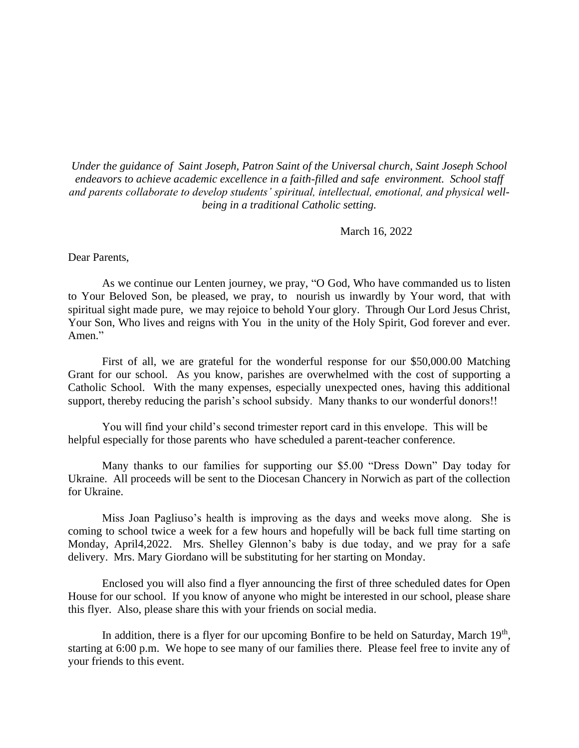*Under the guidance of Saint Joseph, Patron Saint of the Universal church, Saint Joseph School endeavors to achieve academic excellence in a faith-filled and safe environment. School staff and parents collaborate to develop students' spiritual, intellectual, emotional, and physical wellbeing in a traditional Catholic setting.*

March 16, 2022

Dear Parents,

As we continue our Lenten journey, we pray, "O God, Who have commanded us to listen to Your Beloved Son, be pleased, we pray, to nourish us inwardly by Your word, that with spiritual sight made pure, we may rejoice to behold Your glory. Through Our Lord Jesus Christ, Your Son, Who lives and reigns with You in the unity of the Holy Spirit, God forever and ever. Amen."

First of all, we are grateful for the wonderful response for our \$50,000.00 Matching Grant for our school. As you know, parishes are overwhelmed with the cost of supporting a Catholic School. With the many expenses, especially unexpected ones, having this additional support, thereby reducing the parish's school subsidy. Many thanks to our wonderful donors!!

You will find your child's second trimester report card in this envelope. This will be helpful especially for those parents who have scheduled a parent-teacher conference.

Many thanks to our families for supporting our \$5.00 "Dress Down" Day today for Ukraine. All proceeds will be sent to the Diocesan Chancery in Norwich as part of the collection for Ukraine.

Miss Joan Pagliuso's health is improving as the days and weeks move along. She is coming to school twice a week for a few hours and hopefully will be back full time starting on Monday, April4,2022. Mrs. Shelley Glennon's baby is due today, and we pray for a safe delivery. Mrs. Mary Giordano will be substituting for her starting on Monday.

Enclosed you will also find a flyer announcing the first of three scheduled dates for Open House for our school. If you know of anyone who might be interested in our school, please share this flyer. Also, please share this with your friends on social media.

In addition, there is a flyer for our upcoming Bonfire to be held on Saturday, March 19<sup>th</sup>, starting at 6:00 p.m. We hope to see many of our families there. Please feel free to invite any of your friends to this event.